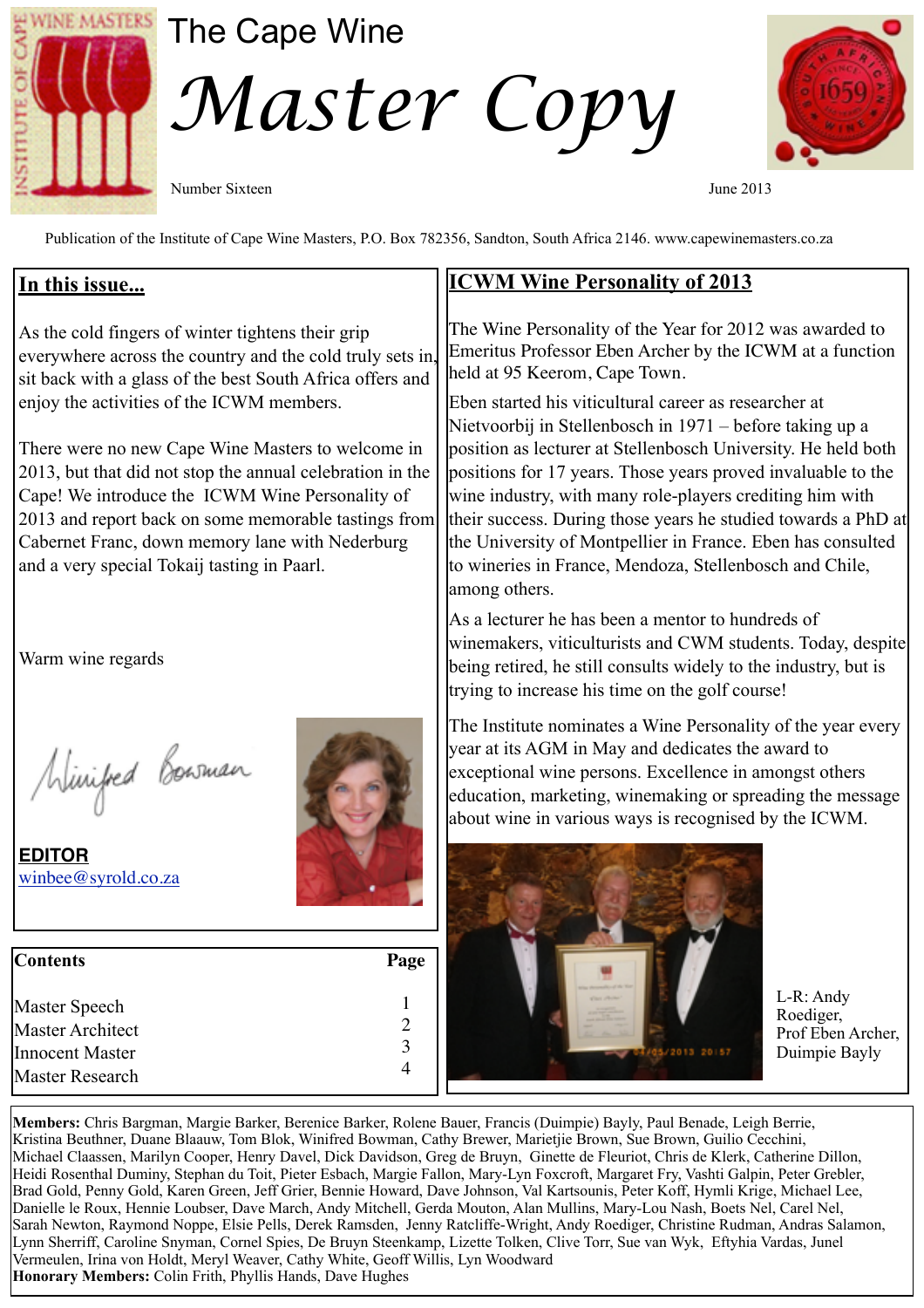

## The Cape Wine

*Master Copy* 

Number Sixteen June 2013



Publication of the Institute of Cape Wine Masters, P.O. Box 782356, Sandton, South Africa 2146. www.capewinemasters.co.za

## **In this issue...**

As the cold fingers of winter tightens their grip everywhere across the country and the cold truly sets in sit back with a glass of the best South Africa offers and enjoy the activities of the ICWM members.

There were no new Cape Wine Masters to welcome in 2013, but that did not stop the annual celebration in the Cape! We introduce the ICWM Wine Personality of 2013 and report back on some memorable tastings from Cabernet Franc, down memory lane with Nederburg and a very special Tokaij tasting in Paarl.

Warm wine regards

Winifed Bowman

**EDITOR** [winbee@syrold.co.za](mailto:winbee@syrold.co.za)



| <b>Contents</b>                                  | Page |
|--------------------------------------------------|------|
| Master Speech                                    |      |
| <b>Master Architect</b>                          |      |
| <b>Innocent Master</b><br><b>Master Research</b> | 3    |

## **ICWM Wine Personality of 2013**

The Wine Personality of the Year for 2012 was awarded to Emeritus Professor Eben Archer by the ICWM at a function held at 95 Keerom, Cape Town.

Eben started his viticultural career as researcher at Nietvoorbij in Stellenbosch in 1971 – before taking up a position as lecturer at Stellenbosch University. He held both positions for 17 years. Those years proved invaluable to the wine industry, with many role-players crediting him with their success. During those years he studied towards a PhD at the University of Montpellier in France. Eben has consulted to wineries in France, Mendoza, Stellenbosch and Chile, among others.

As a lecturer he has been a mentor to hundreds of winemakers, viticulturists and CWM students. Today, despite being retired, he still consults widely to the industry, but is trying to increase his time on the golf course!

The Institute nominates a Wine Personality of the year every year at its AGM in May and dedicates the award to exceptional wine persons. Excellence in amongst others education, marketing, winemaking or spreading the message about wine in various ways is recognised by the ICWM.



L-R: Andy Roediger, Prof Eben Archer, Duimpie Bayly

**Members:** Chris Bargman, Margie Barker, Berenice Barker, Rolene Bauer, Francis (Duimpie) Bayly, Paul Benade, Leigh Berrie, Kristina Beuthner, Duane Blaauw, Tom Blok, Winifred Bowman, Cathy Brewer, Marietjie Brown, Sue Brown, Guilio Cecchini, Michael Claassen, Marilyn Cooper, Henry Davel, Dick Davidson, Greg de Bruyn, Ginette de Fleuriot, Chris de Klerk, Catherine Dillon, Heidi Rosenthal Duminy, Stephan du Toit, Pieter Esbach, Margie Fallon, Mary-Lyn Foxcroft, Margaret Fry, Vashti Galpin, Peter Grebler, Brad Gold, Penny Gold, Karen Green, Jeff Grier, Bennie Howard, Dave Johnson, Val Kartsounis, Peter Koff, Hymli Krige, Michael Lee, Danielle le Roux, Hennie Loubser, Dave March, Andy Mitchell, Gerda Mouton, Alan Mullins, Mary-Lou Nash, Boets Nel, Carel Nel, Sarah Newton, Raymond Noppe, Elsie Pells, Derek Ramsden, Jenny Ratcliffe-Wright, Andy Roediger, Christine Rudman, Andras Salamon, Lynn Sherriff, Caroline Snyman, Cornel Spies, De Bruyn Steenkamp, Lizette Tolken, Clive Torr, Sue van Wyk, Eftyhia Vardas, Junel Vermeulen, Irina von Holdt, Meryl Weaver, Cathy White, Geoff Willis, Lyn Woodward **Honorary Members:** Colin Frith, Phyllis Hands, Dave Hughes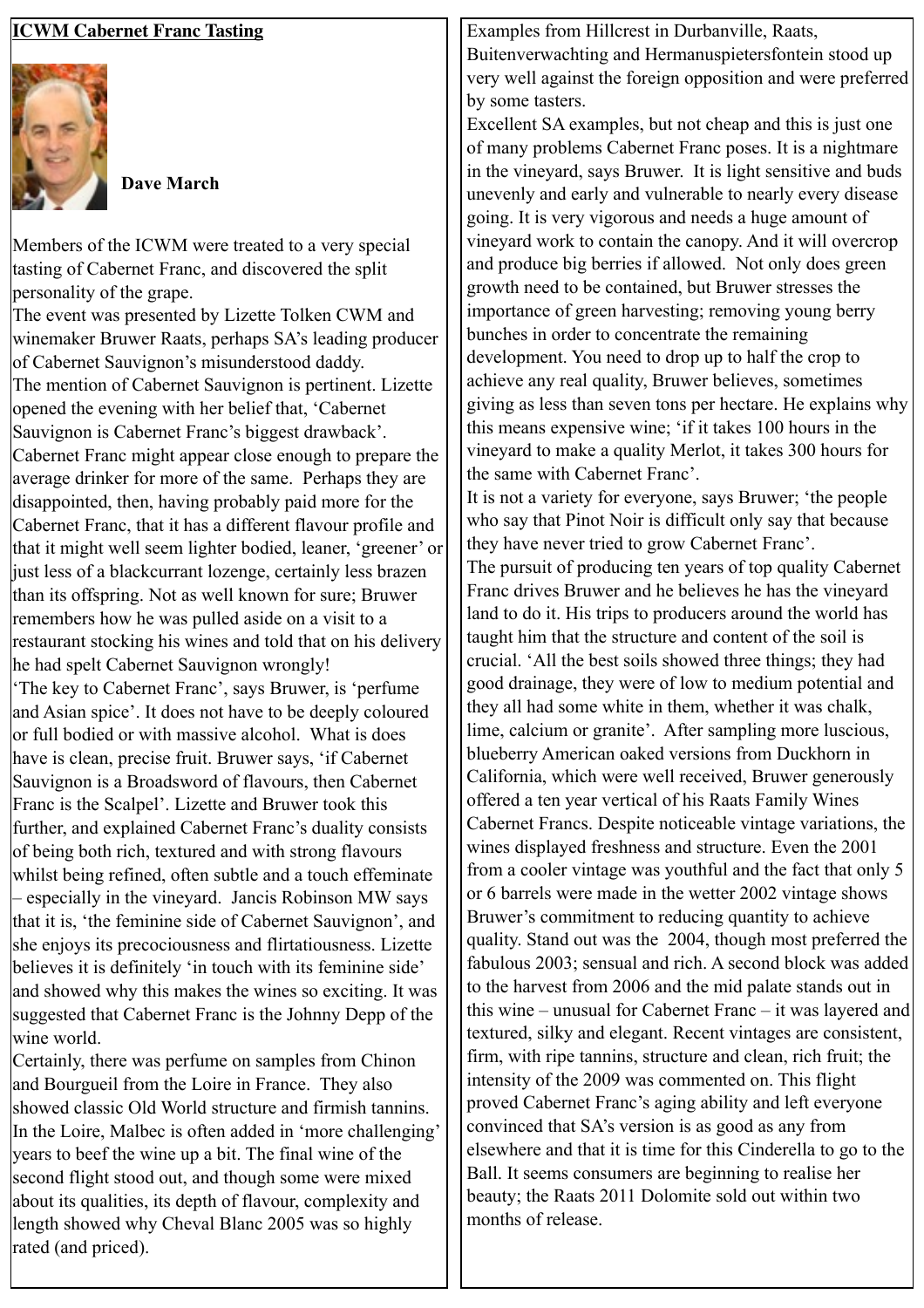| <b>ICWM Cabernet Franc Tasting</b>                           | Examples from Hillcrest in Durbanville, Raats,                 |
|--------------------------------------------------------------|----------------------------------------------------------------|
|                                                              | Buitenverwachting and Hermanuspietersfontein stood up          |
|                                                              | very well against the foreign opposition and were preferred    |
|                                                              | by some tasters.                                               |
|                                                              | Excellent SA examples, but not cheap and this is just one      |
|                                                              | of many problems Cabernet Franc poses. It is a nightmare       |
|                                                              | in the vineyard, says Bruwer. It is light sensitive and buds   |
| <b>Dave March</b>                                            | unevenly and early and vulnerable to nearly every disease      |
|                                                              |                                                                |
|                                                              | going. It is very vigorous and needs a huge amount of          |
| Members of the ICWM were treated to a very special           | vineyard work to contain the canopy. And it will overcrop      |
| tasting of Cabernet Franc, and discovered the split          | and produce big berries if allowed. Not only does green        |
| personality of the grape.                                    | growth need to be contained, but Bruwer stresses the           |
| The event was presented by Lizette Tolken CWM and            | importance of green harvesting; removing young berry           |
| winemaker Bruwer Raats, perhaps SA's leading producer        | bunches in order to concentrate the remaining                  |
| of Cabernet Sauvignon's misunderstood daddy.                 | development. You need to drop up to half the crop to           |
| The mention of Cabernet Sauvignon is pertinent. Lizette      | achieve any real quality, Bruwer believes, sometimes           |
| opened the evening with her belief that, 'Cabernet           | giving as less than seven tons per hectare. He explains why    |
| Sauvignon is Cabernet Franc's biggest drawback'.             | this means expensive wine; 'if it takes 100 hours in the       |
| Cabernet Franc might appear close enough to prepare the      | vineyard to make a quality Merlot, it takes 300 hours for      |
| average drinker for more of the same. Perhaps they are       | the same with Cabernet Franc'.                                 |
| disappointed, then, having probably paid more for the        | It is not a variety for everyone, says Bruwer; 'the people     |
| Cabernet Franc, that it has a different flavour profile and  | who say that Pinot Noir is difficult only say that because     |
| that it might well seem lighter bodied, leaner, 'greener' or | they have never tried to grow Cabernet Franc'.                 |
| just less of a blackcurrant lozenge, certainly less brazen   | The pursuit of producing ten years of top quality Cabernet     |
| than its offspring. Not as well known for sure; Bruwer       | Franc drives Bruwer and he believes he has the vineyard        |
| remembers how he was pulled aside on a visit to a            | land to do it. His trips to producers around the world has     |
| restaurant stocking his wines and told that on his delivery  | taught him that the structure and content of the soil is       |
| he had spelt Cabernet Sauvignon wrongly!                     | crucial. 'All the best soils showed three things; they had     |
| 'The key to Cabernet Franc', says Bruwer, is 'perfume'       | good drainage, they were of low to medium potential and        |
| and Asian spice'. It does not have to be deeply coloured     | they all had some white in them, whether it was chalk,         |
| or full bodied or with massive alcohol. What is does         | lime, calcium or granite'. After sampling more luscious,       |
| have is clean, precise fruit. Bruwer says, 'if Cabernet      | blueberry American oaked versions from Duckhorn in             |
| Sauvignon is a Broadsword of flavours, then Cabernet         | California, which were well received, Bruwer generously        |
|                                                              | offered a ten year vertical of his Raats Family Wines          |
| Franc is the Scalpel'. Lizette and Bruwer took this          | Cabernet Francs. Despite noticeable vintage variations, the    |
| further, and explained Cabernet Franc's duality consists     | wines displayed freshness and structure. Even the 2001         |
| of being both rich, textured and with strong flavours        | from a cooler vintage was youthful and the fact that only 5    |
| whilst being refined, often subtle and a touch effeminate    | or 6 barrels were made in the wetter 2002 vintage shows        |
| especially in the vineyard. Jancis Robinson MW says          | Bruwer's commitment to reducing quantity to achieve            |
| that it is, 'the feminine side of Cabernet Sauvignon', and   | quality. Stand out was the 2004, though most preferred the     |
| she enjoys its precociousness and flirtatiousness. Lizette   | fabulous 2003; sensual and rich. A second block was added      |
| believes it is definitely 'in touch with its feminine side'  |                                                                |
| and showed why this makes the wines so exciting. It was      | to the harvest from 2006 and the mid palate stands out in      |
| suggested that Cabernet Franc is the Johnny Depp of the      | this wine – unusual for Cabernet Franc – it was layered and    |
| wine world.                                                  | textured, silky and elegant. Recent vintages are consistent,   |
| Certainly, there was perfume on samples from Chinon          | firm, with ripe tannins, structure and clean, rich fruit; the  |
| and Bourgueil from the Loire in France. They also            | intensity of the 2009 was commented on. This flight            |
| showed classic Old World structure and firmish tannins.      | proved Cabernet Franc's aging ability and left everyone        |
| In the Loire, Malbec is often added in 'more challenging'    | convinced that SA's version is as good as any from             |
| years to beef the wine up a bit. The final wine of the       | elsewhere and that it is time for this Cinderella to go to the |
| second flight stood out, and though some were mixed          | Ball. It seems consumers are beginning to realise her          |
| about its qualities, its depth of flavour, complexity and    | beauty; the Raats 2011 Dolomite sold out within two            |
| length showed why Cheval Blanc 2005 was so highly            | months of release.                                             |
| rated (and priced).                                          |                                                                |
|                                                              |                                                                |
|                                                              |                                                                |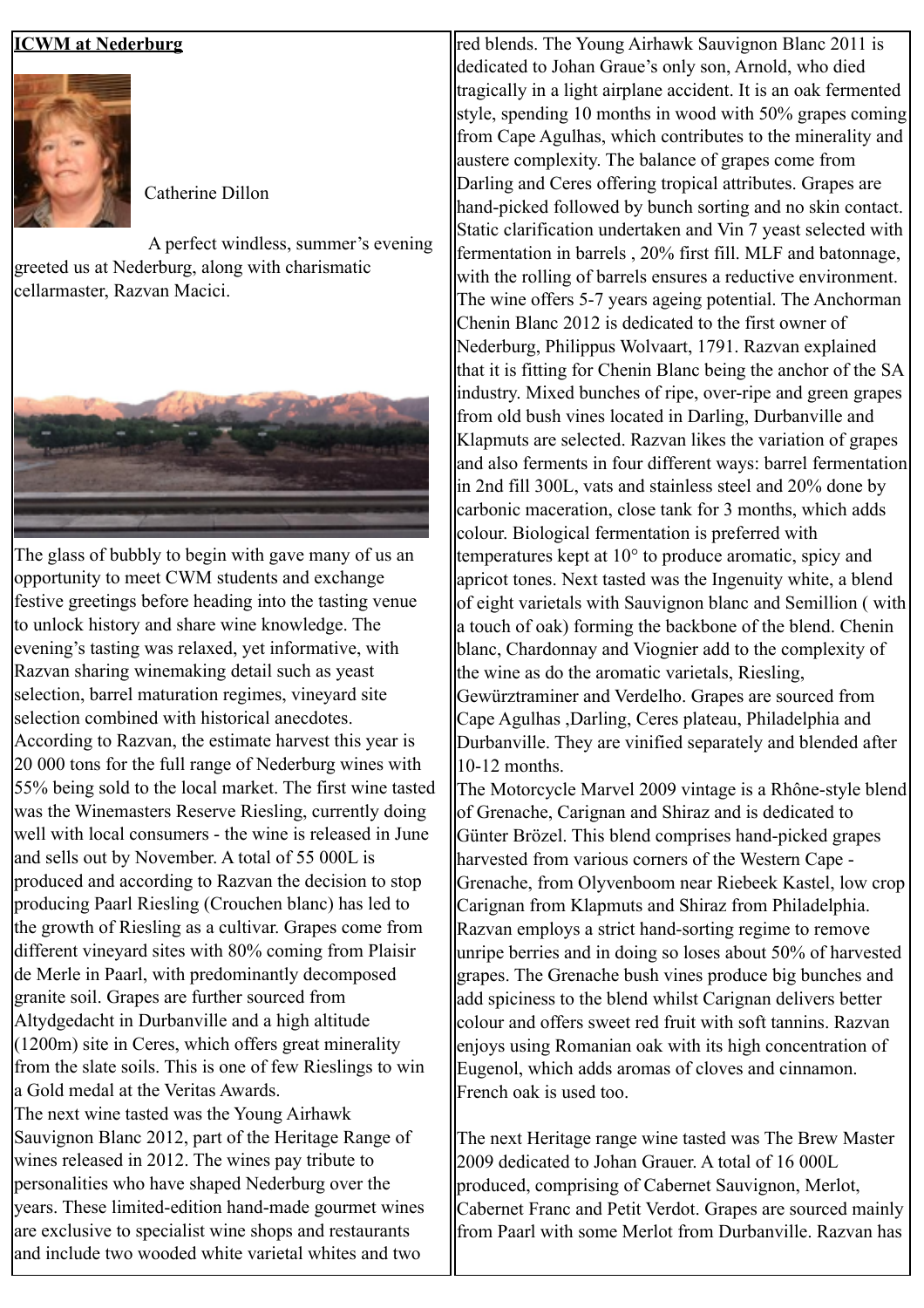## **ICWM at Nederburg**



Catherine Dillon

A perfect windless, summer's evening greeted us at Nederburg, along with charismatic cellarmaster, Razvan Macici.



The glass of bubbly to begin with gave many of us an opportunity to meet CWM students and exchange festive greetings before heading into the tasting venue to unlock history and share wine knowledge. The evening's tasting was relaxed, yet informative, with Razvan sharing winemaking detail such as yeast selection, barrel maturation regimes, vineyard site selection combined with historical anecdotes. According to Razvan, the estimate harvest this year is 20 000 tons for the full range of Nederburg wines with 55% being sold to the local market. The first wine tasted was the Winemasters Reserve Riesling, currently doing well with local consumers - the wine is released in June and sells out by November. A total of 55 000L is produced and according to Razvan the decision to stop producing Paarl Riesling (Crouchen blanc) has led to the growth of Riesling as a cultivar. Grapes come from different vineyard sites with 80% coming from Plaisir de Merle in Paarl, with predominantly decomposed granite soil. Grapes are further sourced from Altydgedacht in Durbanville and a high altitude  $(1200m)$  site in Ceres, which offers great minerality from the slate soils. This is one of few Rieslings to win a Gold medal at the Veritas Awards. The next wine tasted was the Young Airhawk

Sauvignon Blanc 2012, part of the Heritage Range of wines released in 2012. The wines pay tribute to personalities who have shaped Nederburg over the years. These limited-edition hand-made gourmet wines are exclusive to specialist wine shops and restaurants land include two wooded white varietal whites and two

red blends. The Young Airhawk Sauvignon Blanc 2011 is dedicated to Johan Graue's only son, Arnold, who died tragically in a light airplane accident. It is an oak fermented style, spending 10 months in wood with 50% grapes coming from Cape Agulhas, which contributes to the minerality and austere complexity. The balance of grapes come from Darling and Ceres offering tropical attributes. Grapes are hand-picked followed by bunch sorting and no skin contact. Static clarification undertaken and Vin 7 yeast selected with fermentation in barrels , 20% first fill. MLF and batonnage, with the rolling of barrels ensures a reductive environment. The wine offers 5-7 years ageing potential. The Anchorman Chenin Blanc 2012 is dedicated to the first owner of Nederburg, Philippus Wolvaart, 1791. Razvan explained that it is fitting for Chenin Blanc being the anchor of the SA industry. Mixed bunches of ripe, over-ripe and green grapes from old bush vines located in Darling, Durbanville and Klapmuts are selected. Razvan likes the variation of grapes and also ferments in four different ways: barrel fermentation in 2nd fill 300L, vats and stainless steel and 20% done by carbonic maceration, close tank for 3 months, which adds colour. Biological fermentation is preferred with temperatures kept at 10° to produce aromatic, spicy and apricot tones. Next tasted was the Ingenuity white, a blend of eight varietals with Sauvignon blanc and Semillion ( with a touch of oak) forming the backbone of the blend. Chenin blanc, Chardonnay and Viognier add to the complexity of the wine as do the aromatic varietals, Riesling, Gewürztraminer and Verdelho. Grapes are sourced from Cape Agulhas ,Darling, Ceres plateau, Philadelphia and Durbanville. They are vinified separately and blended after 10-12 months.

The Motorcycle Marvel 2009 vintage is a Rhône-style blend of Grenache, Carignan and Shiraz and is dedicated to Günter Brözel. This blend comprises hand-picked grapes harvested from various corners of the Western Cape - Grenache, from Olyvenboom near Riebeek Kastel, low crop Carignan from Klapmuts and Shiraz from Philadelphia. Razvan employs a strict hand-sorting regime to remove unripe berries and in doing so loses about 50% of harvested grapes. The Grenache bush vines produce big bunches and add spiciness to the blend whilst Carignan delivers better colour and offers sweet red fruit with soft tannins. Razvan enjoys using Romanian oak with its high concentration of Eugenol, which adds aromas of cloves and cinnamon. French oak is used too.

The next Heritage range wine tasted was The Brew Master 2009 dedicated to Johan Grauer. A total of 16 000L produced, comprising of Cabernet Sauvignon, Merlot, Cabernet Franc and Petit Verdot. Grapes are sourced mainly from Paarl with some Merlot from Durbanville. Razvan has